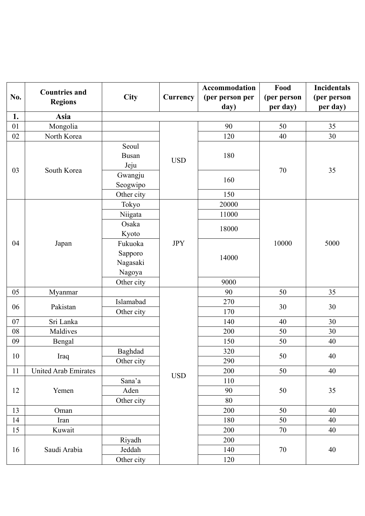|            | <b>Countries and</b>        |              |                 | Accommodation   | Food                                      | <b>Incidentals</b>                                                             |
|------------|-----------------------------|--------------|-----------------|-----------------|-------------------------------------------|--------------------------------------------------------------------------------|
| No.        |                             | <b>City</b>  | <b>Currency</b> | (per person per | (per person                               | (per person                                                                    |
|            | <b>Regions</b>              |              |                 | day)            | per day)                                  | per day)                                                                       |
| 1.         | <b>Asia</b>                 |              |                 |                 |                                           |                                                                                |
| 01         | Mongolia                    |              |                 | 90              | 50                                        | 35                                                                             |
| 02         | North Korea                 |              |                 | 120             | 40                                        | 30                                                                             |
|            |                             | Seoul        |                 |                 |                                           |                                                                                |
|            |                             | <b>Busan</b> | <b>USD</b>      | 180             |                                           |                                                                                |
|            |                             | Jeju         |                 |                 |                                           |                                                                                |
| 03         | South Korea                 | Gwangju      |                 |                 | 70                                        |                                                                                |
|            |                             | Seogwipo     |                 | 160             |                                           |                                                                                |
|            |                             | Other city   |                 | 150             | 20000<br>11000<br>18000<br>10000<br>14000 |                                                                                |
|            |                             | Tokyo        |                 |                 |                                           |                                                                                |
|            |                             | Niigata      |                 |                 |                                           |                                                                                |
| 04         |                             | Osaka        |                 |                 |                                           |                                                                                |
|            |                             | Kyoto        |                 |                 |                                           |                                                                                |
|            | Japan                       | Fukuoka      | <b>JPY</b>      |                 |                                           | 5000                                                                           |
|            |                             | Sapporo      |                 |                 |                                           |                                                                                |
|            |                             | Nagasaki     |                 |                 |                                           |                                                                                |
|            |                             | Nagoya       |                 |                 |                                           | 35<br>35<br>30<br>30<br>30<br>40<br>$40\,$<br>40<br>35<br>40<br>40<br>40<br>40 |
|            |                             | Other city   |                 | 9000            |                                           |                                                                                |
| 05         | Myanmar                     |              |                 | 90              | 50                                        |                                                                                |
| 06         |                             | Islamabad    |                 | 270             | 30                                        |                                                                                |
|            | Pakistan                    | Other city   |                 | 170             |                                           |                                                                                |
| 07         | Sri Lanka                   |              |                 | 140             | 40                                        |                                                                                |
| ${\bf 08}$ | Maldives                    |              |                 | 200             | 50                                        |                                                                                |
| 09         | Bengal                      |              |                 | 150             | 50                                        |                                                                                |
| $10\,$     |                             | Baghdad      |                 | 320             | 50                                        |                                                                                |
|            | Iraq                        | Other city   |                 | 290             |                                           |                                                                                |
| 11         | <b>United Arab Emirates</b> |              | <b>USD</b>      | 200             | 50                                        |                                                                                |
|            |                             | Sana'a       |                 | 110             |                                           |                                                                                |
| 12         | Yemen                       | Aden         |                 | 90              | 50                                        |                                                                                |
|            |                             | Other city   |                 | 80              |                                           |                                                                                |
| 13         | Oman                        |              |                 | 200             | 50                                        |                                                                                |
| 14         | Iran                        |              |                 | 180             | 50                                        |                                                                                |
| 15         | Kuwait                      |              |                 | 200             | 70                                        |                                                                                |
|            |                             | Riyadh       |                 | 200             |                                           |                                                                                |
| 16         | Saudi Arabia                | Jeddah       |                 | 140             | $70\,$                                    |                                                                                |
|            |                             | Other city   |                 | 120             |                                           |                                                                                |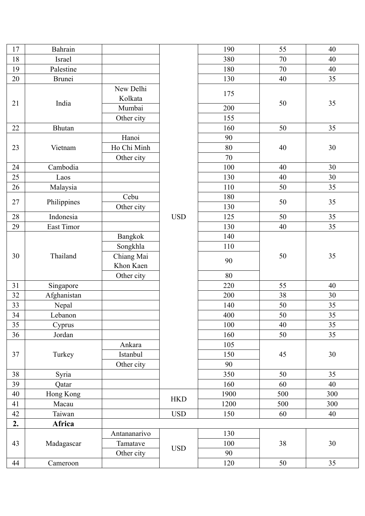| 17 | Bahrain       |                      |            | 190  | 55  | 40  |
|----|---------------|----------------------|------------|------|-----|-----|
| 18 | <b>Israel</b> |                      |            | 380  | 70  | 40  |
| 19 | Palestine     |                      |            | 180  | 70  | 40  |
| 20 | Brunei        |                      |            | 130  | 40  | 35  |
|    |               | New Delhi<br>Kolkata |            | 175  |     |     |
| 21 | India         | Mumbai               |            | 200  | 50  | 35  |
|    |               | Other city           |            | 155  |     |     |
| 22 | Bhutan        |                      |            | 160  | 50  | 35  |
|    |               | Hanoi                |            | 90   |     |     |
| 23 | Vietnam       | Ho Chi Minh          |            | 80   | 40  | 30  |
|    |               | Other city           |            | 70   |     |     |
| 24 | Cambodia      |                      |            | 100  | 40  | 30  |
| 25 | Laos          |                      |            | 130  | 40  | 30  |
| 26 | Malaysia      |                      |            | 110  | 50  | 35  |
|    |               | Cebu                 |            | 180  |     |     |
| 27 | Philippines   | Other city           |            | 130  | 50  | 35  |
| 28 | Indonesia     |                      | <b>USD</b> | 125  | 50  | 35  |
| 29 | East Timor    |                      |            | 130  | 40  | 35  |
|    |               | Bangkok              |            | 140  |     |     |
|    |               | Songkhla             |            | 110  |     |     |
| 30 | Thailand      | Chiang Mai           |            |      | 50  | 35  |
|    |               | Khon Kaen            |            | 90   |     |     |
|    |               | Other city           |            | 80   |     |     |
| 31 | Singapore     |                      |            | 220  | 55  | 40  |
| 32 | Afghanistan   |                      |            | 200  | 38  | 30  |
| 33 | Nepal         |                      |            | 140  | 50  | 35  |
| 34 | Lebanon       |                      |            | 400  | 50  | 35  |
| 35 | Cyprus        |                      |            | 100  | 40  | 35  |
| 36 | Jordan        |                      |            | 160  | 50  | 35  |
|    |               | Ankara               |            | 105  |     |     |
| 37 | Turkey        | Istanbul             |            | 150  | 45  | 30  |
|    |               | Other city           |            | 90   |     |     |
| 38 | Syria         |                      |            | 350  | 50  | 35  |
| 39 | Qatar         |                      |            | 160  | 60  | 40  |
| 40 | Hong Kong     |                      | <b>HKD</b> | 1900 | 500 | 300 |
| 41 | Macau         |                      |            | 1200 | 500 | 300 |
| 42 | Taiwan        |                      | <b>USD</b> | 150  | 60  | 40  |
| 2. | Africa        |                      |            |      |     |     |
|    |               | Antananarivo         |            | 130  |     |     |
| 43 | Madagascar    | Tamatave             | <b>USD</b> | 100  | 38  | 30  |
|    |               | Other city           |            | 90   |     |     |
| 44 | Cameroon      |                      |            | 120  | 50  | 35  |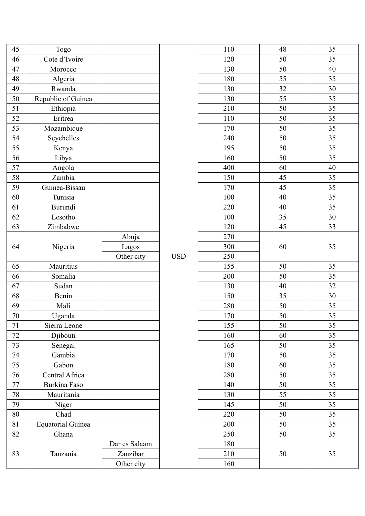| 45     | Togo                     |               |            | 110 | 48     | 35 |
|--------|--------------------------|---------------|------------|-----|--------|----|
| 46     | Cote d'Ivoire            |               |            | 120 | 50     | 35 |
| 47     | Morocco                  |               |            | 130 | 50     | 40 |
| 48     | Algeria                  |               |            | 180 | 55     | 35 |
| 49     | Rwanda                   |               |            | 130 | 32     | 30 |
| 50     | Republic of Guinea       |               |            | 130 | 55     | 35 |
| 51     | Ethiopia                 |               |            | 210 | 50     | 35 |
| 52     | Eritrea                  |               |            | 110 | 50     | 35 |
| 53     | Mozambique               |               |            | 170 | 50     | 35 |
| 54     | Seychelles               |               |            | 240 | 50     | 35 |
| 55     | Kenya                    |               |            | 195 | 50     | 35 |
| 56     | Libya                    |               |            | 160 | 50     | 35 |
| 57     | Angola                   |               |            | 400 | 60     | 40 |
| 58     | Zambia                   |               |            | 150 | 45     | 35 |
| 59     | Guinea-Bissau            |               |            | 170 | 45     | 35 |
| 60     | Tunisia                  |               |            | 100 | 40     | 35 |
| 61     | Burundi                  |               |            | 220 | 40     | 35 |
| 62     | Lesotho                  |               |            | 100 | 35     | 30 |
| 63     | Zimbabwe                 |               |            | 120 | 45     | 33 |
|        |                          | Abuja         |            | 270 |        |    |
| 64     | Nigeria                  | Lagos         |            | 300 | 60     | 35 |
|        |                          | Other city    | <b>USD</b> | 250 |        |    |
| 65     | Mauritius                |               |            | 155 | 50     | 35 |
| 66     | Somalia                  |               |            | 200 | 50     | 35 |
| 67     | Sudan                    |               |            | 130 | 40     | 32 |
| 68     | Benin                    |               |            | 150 | 35     | 30 |
| 69     | Mali                     |               |            | 280 | 50     | 35 |
| $70\,$ | Uganda                   |               |            | 170 | 50     | 35 |
| 71     | Sierra Leone             |               |            | 155 | 50     | 35 |
| 72     | Djibouti                 |               |            | 160 | 60     | 35 |
| 73     | Senegal                  |               |            | 165 | 50     | 35 |
| 74     | Gambia                   |               |            | 170 | 50     | 35 |
| 75     | Gabon                    |               |            | 180 | 60     | 35 |
| 76     | Central Africa           |               |            | 280 | 50     | 35 |
| 77     | Burkina Faso             |               |            | 140 | 50     | 35 |
| 78     | Mauritania               |               |            | 130 | 55     | 35 |
| 79     | Niger                    |               |            | 145 | 50     | 35 |
| 80     | Chad                     |               |            | 220 | 50     | 35 |
| 81     | <b>Equatorial Guinea</b> |               |            | 200 | 50     | 35 |
| 82     | Ghana                    |               |            | 250 | 50     | 35 |
|        |                          | Dar es Salaam |            | 180 |        |    |
| 83     | Tanzania                 | Zanzibar      |            | 210 | $50\,$ | 35 |
|        |                          | Other city    |            | 160 |        |    |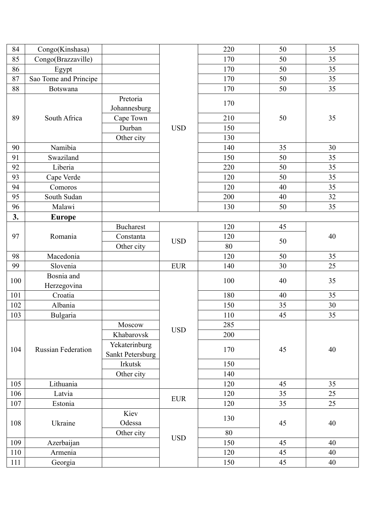| 84     | Congo(Kinshasa)           |                                   |            | 220 | 50 | 35 |
|--------|---------------------------|-----------------------------------|------------|-----|----|----|
| 85     | Congo(Brazzaville)        |                                   |            | 170 | 50 | 35 |
| 86     | Egypt                     |                                   |            | 170 | 50 | 35 |
| $87\,$ | Sao Tome and Principe     |                                   |            | 170 | 50 | 35 |
| 88     | <b>Botswana</b>           |                                   |            | 170 | 50 | 35 |
|        |                           | Pretoria<br>Johannesburg          |            | 170 |    |    |
| 89     | South Africa              | Cape Town                         |            | 210 | 50 | 35 |
|        |                           | Durban                            | <b>USD</b> | 150 |    |    |
|        |                           | Other city                        |            | 130 |    |    |
| 90     | Namibia                   |                                   |            | 140 | 35 | 30 |
| 91     | Swaziland                 |                                   |            | 150 | 50 | 35 |
| 92     | Liberia                   |                                   |            | 220 | 50 | 35 |
| 93     | Cape Verde                |                                   |            | 120 | 50 | 35 |
| 94     | Comoros                   |                                   |            | 120 | 40 | 35 |
| 95     | South Sudan               |                                   |            | 200 | 40 | 32 |
| 96     | Malawi                    |                                   |            | 130 | 50 | 35 |
| 3.     | <b>Europe</b>             |                                   |            |     |    |    |
|        |                           | <b>Bucharest</b>                  |            | 120 | 45 |    |
| 97     | Romania                   | Constanta                         |            | 120 |    | 40 |
|        |                           | Other city                        | <b>USD</b> | 80  | 50 |    |
| 98     | Macedonia                 |                                   |            | 120 | 50 | 35 |
| 99     | Slovenia                  |                                   | <b>EUR</b> | 140 | 30 | 25 |
|        | Bosnia and                |                                   |            |     |    |    |
| 100    | Herzegovina               |                                   |            | 100 | 40 | 35 |
| 101    | Croatia                   |                                   |            | 180 | 40 | 35 |
| 102    | Albania                   |                                   |            | 150 | 35 | 30 |
| 103    | Bulgaria                  |                                   |            | 110 | 45 | 35 |
|        |                           | Moscow                            |            | 285 |    |    |
|        |                           | Khabarovsk                        | <b>USD</b> | 200 |    |    |
| 104    | <b>Russian Federation</b> | Yekaterinburg<br>Sankt Petersburg |            | 170 | 45 | 40 |
|        |                           | Irkutsk                           |            | 150 |    |    |
|        |                           | Other city                        |            | 140 |    |    |
| 105    | Lithuania                 |                                   |            | 120 | 45 | 35 |
| 106    | Latvia                    |                                   |            | 120 | 35 | 25 |
| 107    | Estonia                   |                                   | <b>EUR</b> | 120 | 35 | 25 |
| 108    | Ukraine                   | Kiev<br>Odessa                    |            | 130 | 45 | 40 |
|        |                           | Other city                        |            | 80  |    |    |
| 109    | Azerbaijan                |                                   | <b>USD</b> | 150 | 45 | 40 |
| 110    | Armenia                   |                                   |            | 120 | 45 | 40 |
| 111    | Georgia                   |                                   |            | 150 | 45 | 40 |
|        |                           |                                   |            |     |    |    |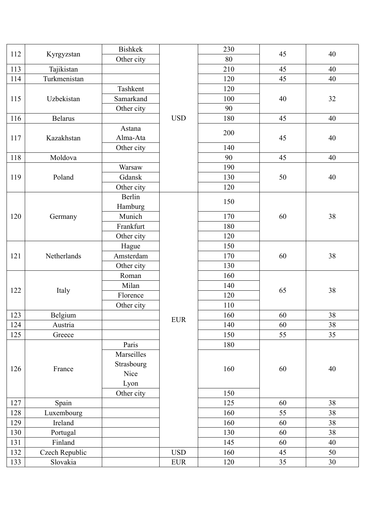| 112 | Kyrgyzstan     | <b>Bishkek</b> |            | 230 | 45 | 40                   |
|-----|----------------|----------------|------------|-----|----|----------------------|
|     |                | Other city     |            | 80  |    |                      |
| 113 | Tajikistan     |                |            | 210 | 45 | 40                   |
| 114 | Turkmenistan   |                |            | 120 | 45 | 40                   |
|     |                | Tashkent       |            | 120 |    |                      |
| 115 | Uzbekistan     | Samarkand      |            | 100 | 40 | 32                   |
|     |                | Other city     |            | 90  |    |                      |
| 116 | <b>Belarus</b> |                | <b>USD</b> | 180 | 45 | 40                   |
|     |                | Astana         |            | 200 |    |                      |
| 117 | Kazakhstan     | Alma-Ata       |            |     | 45 | 40                   |
|     |                | Other city     |            | 140 |    |                      |
| 118 | Moldova        |                |            | 90  | 45 | 40                   |
|     |                | Warsaw         |            | 190 |    |                      |
| 119 | Poland         | Gdansk         |            | 130 | 50 | 40                   |
|     |                | Other city     |            | 120 |    |                      |
|     |                | Berlin         |            | 150 |    |                      |
|     |                | Hamburg        |            |     |    |                      |
| 120 | Germany        | Munich         |            | 170 | 60 | 38                   |
|     |                | Frankfurt      |            | 180 |    |                      |
|     |                | Other city     |            | 120 |    |                      |
|     |                | Hague          |            | 150 |    | 38<br>38<br>38<br>38 |
| 121 | Netherlands    | Amsterdam      |            | 170 | 60 |                      |
|     |                | Other city     |            | 130 |    |                      |
|     |                | Roman          |            | 160 | 65 |                      |
|     |                | Milan          |            | 140 |    |                      |
| 122 | Italy          | Florence       |            | 120 |    |                      |
|     |                | Other city     |            | 110 |    |                      |
| 123 | Belgium        |                |            | 160 | 60 |                      |
| 124 | Austria        |                | <b>EUR</b> | 140 | 60 |                      |
| 125 | Greece         |                |            | 150 | 55 | 35                   |
|     |                | Paris          |            | 180 |    |                      |
|     |                | Marseilles     |            |     |    |                      |
|     |                | Strasbourg     |            |     |    |                      |
| 126 | France         | Nice           |            | 160 | 60 | 40                   |
|     |                | Lyon           |            |     |    |                      |
|     |                | Other city     |            | 150 |    |                      |
| 127 | Spain          |                |            | 125 | 60 | 38                   |
| 128 | Luxembourg     |                |            | 160 | 55 | 38                   |
| 129 | Ireland        |                |            | 160 | 60 | 38                   |
| 130 | Portugal       |                |            | 130 | 60 | 38                   |
| 131 | Finland        |                |            | 145 | 60 | 40                   |
| 132 | Czech Republic |                | <b>USD</b> | 160 | 45 | 50                   |
| 133 | Slovakia       |                | <b>EUR</b> | 120 | 35 | 30                   |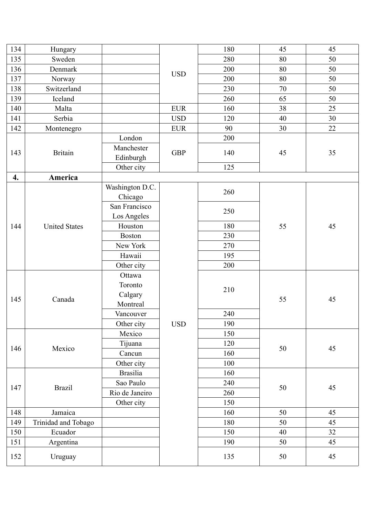| 134 | Hungary              |                 |                                                                                                                                                                                                                                                               | 180 | 45 | 45                                                 |
|-----|----------------------|-----------------|---------------------------------------------------------------------------------------------------------------------------------------------------------------------------------------------------------------------------------------------------------------|-----|----|----------------------------------------------------|
| 135 | Sweden               |                 |                                                                                                                                                                                                                                                               | 280 | 80 | 50                                                 |
| 136 | Denmark              |                 |                                                                                                                                                                                                                                                               | 200 | 80 | 50                                                 |
| 137 | Norway               |                 |                                                                                                                                                                                                                                                               | 200 | 80 | 50                                                 |
| 138 | Switzerland          |                 |                                                                                                                                                                                                                                                               | 230 | 70 | 50                                                 |
| 139 | Iceland              |                 |                                                                                                                                                                                                                                                               | 260 | 65 | 50                                                 |
| 140 | Malta                |                 | <b>EUR</b>                                                                                                                                                                                                                                                    | 160 | 38 | 25                                                 |
| 141 | Serbia               |                 | <b>USD</b>                                                                                                                                                                                                                                                    | 120 | 40 | 30                                                 |
| 142 | Montenegro           |                 | <b>EUR</b>                                                                                                                                                                                                                                                    | 90  | 30 | 22                                                 |
|     |                      | London          |                                                                                                                                                                                                                                                               | 200 |    |                                                    |
| 143 | <b>Britain</b>       | Manchester      |                                                                                                                                                                                                                                                               |     |    |                                                    |
|     |                      | Edinburgh       |                                                                                                                                                                                                                                                               |     |    |                                                    |
|     |                      | Other city      |                                                                                                                                                                                                                                                               | 125 |    |                                                    |
| 4.  | America              |                 |                                                                                                                                                                                                                                                               |     |    |                                                    |
|     |                      | Washington D.C. |                                                                                                                                                                                                                                                               |     |    |                                                    |
|     |                      | Chicago         | <b>USD</b><br><b>GBP</b><br>140<br>45<br>260<br>250<br>180<br>55<br>230<br>270<br>195<br>200<br>210<br>55<br>240<br><b>USD</b><br>190<br>150<br>120<br>50<br>160<br>100<br>160<br>240<br>50<br>260<br>150<br>160<br>50<br>180<br>50<br>150<br>40<br>190<br>50 |     |    |                                                    |
| 144 |                      | San Francisco   |                                                                                                                                                                                                                                                               |     |    |                                                    |
|     |                      | Los Angeles     |                                                                                                                                                                                                                                                               |     |    |                                                    |
|     | <b>United States</b> | Houston         |                                                                                                                                                                                                                                                               |     |    | 45                                                 |
|     | <b>Boston</b>        |                 |                                                                                                                                                                                                                                                               |     |    |                                                    |
|     |                      | New York        |                                                                                                                                                                                                                                                               |     |    | 35<br>45<br>45<br>45<br>45<br>45<br>32<br>45<br>45 |
|     |                      | Hawaii          |                                                                                                                                                                                                                                                               |     |    |                                                    |
|     | Canada               | Other city      |                                                                                                                                                                                                                                                               |     |    |                                                    |
|     |                      | Ottawa          |                                                                                                                                                                                                                                                               |     |    |                                                    |
|     |                      | Toronto         |                                                                                                                                                                                                                                                               |     |    |                                                    |
| 145 |                      | Calgary         |                                                                                                                                                                                                                                                               |     |    |                                                    |
|     |                      | Montreal        |                                                                                                                                                                                                                                                               |     |    |                                                    |
|     |                      | Vancouver       |                                                                                                                                                                                                                                                               |     |    |                                                    |
|     |                      | Other city      |                                                                                                                                                                                                                                                               |     |    |                                                    |
|     |                      | Mexico          |                                                                                                                                                                                                                                                               |     |    |                                                    |
| 146 | Mexico               | Tijuana         |                                                                                                                                                                                                                                                               |     |    |                                                    |
|     |                      | Cancun          |                                                                                                                                                                                                                                                               |     |    |                                                    |
|     |                      | Other city      |                                                                                                                                                                                                                                                               |     |    |                                                    |
|     |                      | <b>Brasilia</b> |                                                                                                                                                                                                                                                               |     |    |                                                    |
| 147 | <b>Brazil</b>        | Sao Paulo       |                                                                                                                                                                                                                                                               |     |    |                                                    |
|     |                      | Rio de Janeiro  |                                                                                                                                                                                                                                                               |     |    |                                                    |
|     |                      | Other city      |                                                                                                                                                                                                                                                               |     |    |                                                    |
| 148 | Jamaica              |                 |                                                                                                                                                                                                                                                               |     |    |                                                    |
| 149 | Trinidad and Tobago  |                 |                                                                                                                                                                                                                                                               |     |    |                                                    |
| 150 | Ecuador              |                 |                                                                                                                                                                                                                                                               |     |    |                                                    |
| 151 | Argentina            |                 |                                                                                                                                                                                                                                                               |     |    |                                                    |
| 152 | Uruguay              |                 |                                                                                                                                                                                                                                                               | 135 | 50 |                                                    |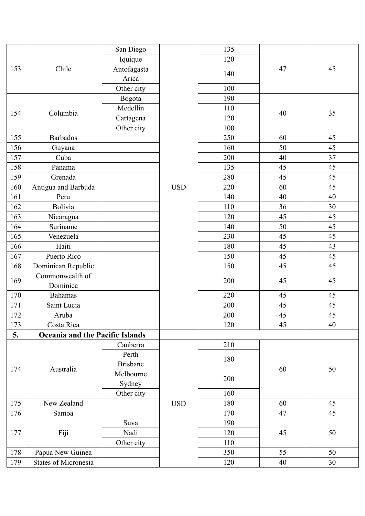|     |                                        | San Diego       |            | 135 |    |    |  |
|-----|----------------------------------------|-----------------|------------|-----|----|----|--|
|     |                                        | Iquique         | 120        |     |    |    |  |
| 153 | Chile                                  | Antofagasta     |            | 47  | 45 |    |  |
|     |                                        | Arica           |            | 140 |    |    |  |
|     |                                        | Other city      |            | 100 |    |    |  |
|     |                                        | Bogota          |            | 190 |    |    |  |
|     |                                        | Medellin        |            | 110 |    |    |  |
| 154 | Columbia                               | Cartagena       |            | 120 | 40 | 35 |  |
|     |                                        | Other city      |            | 100 |    |    |  |
| 155 | <b>Barbados</b>                        |                 |            | 250 | 60 | 45 |  |
| 156 | Guyana                                 |                 |            | 160 | 50 | 45 |  |
| 157 | Cuba                                   |                 |            | 200 | 40 | 37 |  |
| 158 | Panama                                 |                 |            | 135 | 45 | 45 |  |
| 159 | Grenada                                |                 |            | 280 | 45 | 45 |  |
| 160 | Antigua and Barbuda                    |                 | <b>USD</b> | 220 | 60 | 45 |  |
| 161 | Peru                                   |                 |            | 140 | 40 | 40 |  |
| 162 | <b>Bolivia</b>                         |                 |            | 110 | 36 | 30 |  |
| 163 | Nicaragua                              |                 |            | 120 | 45 | 45 |  |
| 164 | Suriname                               |                 |            | 140 | 50 | 45 |  |
| 165 | Venezuela                              |                 |            | 230 | 45 | 45 |  |
| 166 | Haiti                                  |                 |            | 180 | 45 | 43 |  |
| 167 | Puerto Rico                            |                 |            | 150 | 45 | 45 |  |
| 168 | Dominican Republic                     |                 |            | 150 | 45 | 45 |  |
|     | Commonwealth of                        |                 |            |     |    |    |  |
| 169 | Dominica                               |                 |            | 200 | 45 | 45 |  |
| 170 | <b>Bahamas</b>                         |                 |            | 220 | 45 | 45 |  |
| 171 | Saint Lucia                            |                 |            | 200 | 45 | 45 |  |
| 172 | Aruba                                  |                 |            | 200 | 45 | 45 |  |
| 173 | Costa Rica                             |                 |            | 120 | 45 | 40 |  |
| 5.  | <b>Oceania and the Pacific Islands</b> |                 |            |     |    |    |  |
|     |                                        | Canberra        |            | 210 |    |    |  |
|     |                                        | Perth           |            |     |    |    |  |
|     |                                        | <b>Brisbane</b> |            | 180 |    |    |  |
| 174 | Australia                              | Melbourne       |            |     | 60 | 50 |  |
|     |                                        | Sydney          |            | 200 |    |    |  |
|     |                                        | Other city      |            | 160 |    |    |  |
| 175 | New Zealand                            |                 | <b>USD</b> | 180 | 60 | 45 |  |
| 176 | Samoa                                  |                 |            | 170 | 47 | 45 |  |
|     |                                        | Suva            |            | 190 |    |    |  |
| 177 | Fiji                                   | Nadi            |            | 120 | 45 | 50 |  |
|     |                                        | Other city      |            | 110 |    |    |  |
| 178 | Papua New Guinea                       |                 |            | 350 | 55 | 50 |  |
| 179 | States of Micronesia                   |                 |            | 120 | 40 | 30 |  |